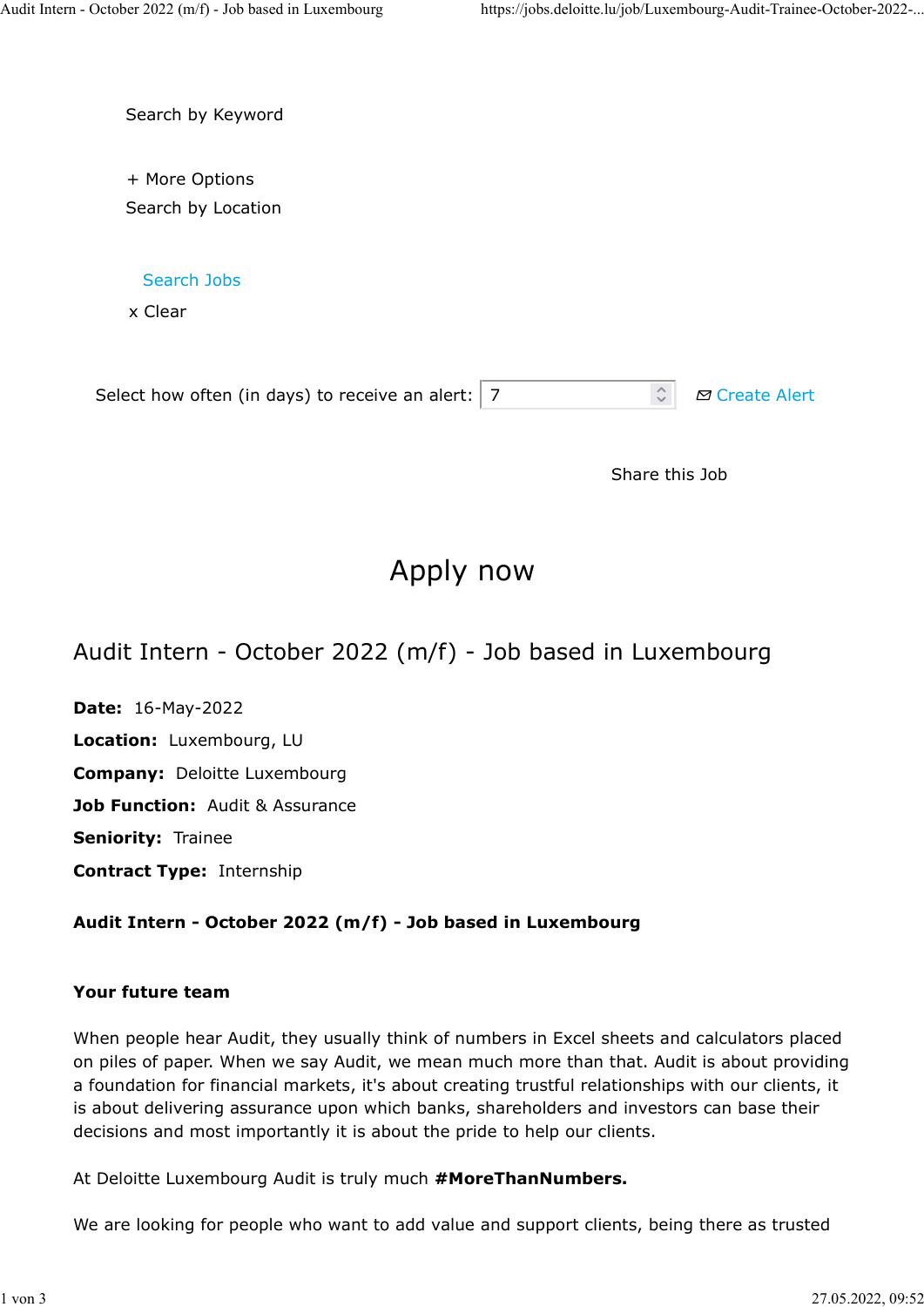Search by Keyword

+ More Options Search by Location

Search Jobs

x Clear

| $\hat{z}$ $\sigma$ Create Alert<br>Select how often (in days) to receive an alert: $ 7 $ |
|------------------------------------------------------------------------------------------|
|------------------------------------------------------------------------------------------|

Share this Job

# Apply now

Audit Intern - October 2022 (m/f) - Job based in Luxembourg

Date: 16-May-2022 Location: Luxembourg, LU Company: Deloitte Luxembourg Job Function: Audit & Assurance Seniority: Trainee Contract Type: Internship

# Audit Intern - October 2022 (m/f) - Job based in Luxembourg

# Your future team

When people hear Audit, they usually think of numbers in Excel sheets and calculators placed on piles of paper. When we say Audit, we mean much more than that. Audit is about providing a foundation for financial markets, it's about creating trustful relationships with our clients, it is about delivering assurance upon which banks, shareholders and investors can base their decisions and most importantly it is about the pride to help our clients.

At Deloitte Luxembourg Audit is truly much #MoreThanNumbers.

We are looking for people who want to add value and support clients, being there as trusted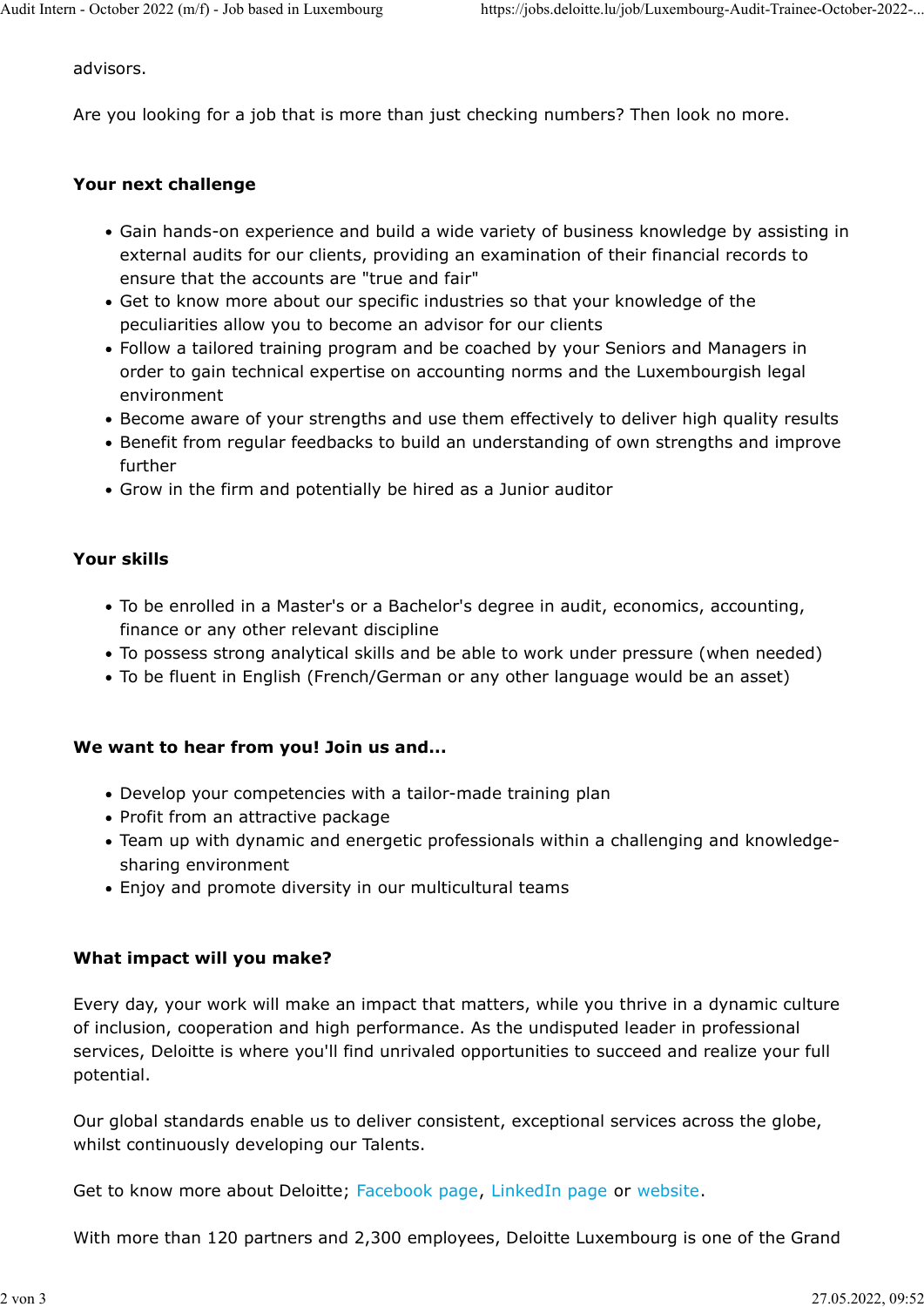advisors.

Are you looking for a job that is more than just checking numbers? Then look no more.

### Your next challenge

- Gain hands-on experience and build a wide variety of business knowledge by assisting in external audits for our clients, providing an examination of their financial records to ensure that the accounts are "true and fair"
- Get to know more about our specific industries so that your knowledge of the peculiarities allow you to become an advisor for our clients
- Follow a tailored training program and be coached by your Seniors and Managers in order to gain technical expertise on accounting norms and the Luxembourgish legal environment
- Become aware of your strengths and use them effectively to deliver high quality results
- Benefit from regular feedbacks to build an understanding of own strengths and improve further
- Grow in the firm and potentially be hired as a Junior auditor

#### Your skills

- To be enrolled in a Master's or a Bachelor's degree in audit, economics, accounting, finance or any other relevant discipline
- To possess strong analytical skills and be able to work under pressure (when needed)
- To be fluent in English (French/German or any other language would be an asset)

#### We want to hear from you! Join us and...

- Develop your competencies with a tailor-made training plan
- Profit from an attractive package
- Team up with dynamic and energetic professionals within a challenging and knowledgesharing environment
- Enjoy and promote diversity in our multicultural teams

#### What impact will you make?

Every day, your work will make an impact that matters, while you thrive in a dynamic culture of inclusion, cooperation and high performance. As the undisputed leader in professional services, Deloitte is where you'll find unrivaled opportunities to succeed and realize your full potential.

Our global standards enable us to deliver consistent, exceptional services across the globe, whilst continuously developing our Talents.

Get to know more about Deloitte; Facebook page, LinkedIn page or website.

With more than 120 partners and 2,300 employees, Deloitte Luxembourg is one of the Grand